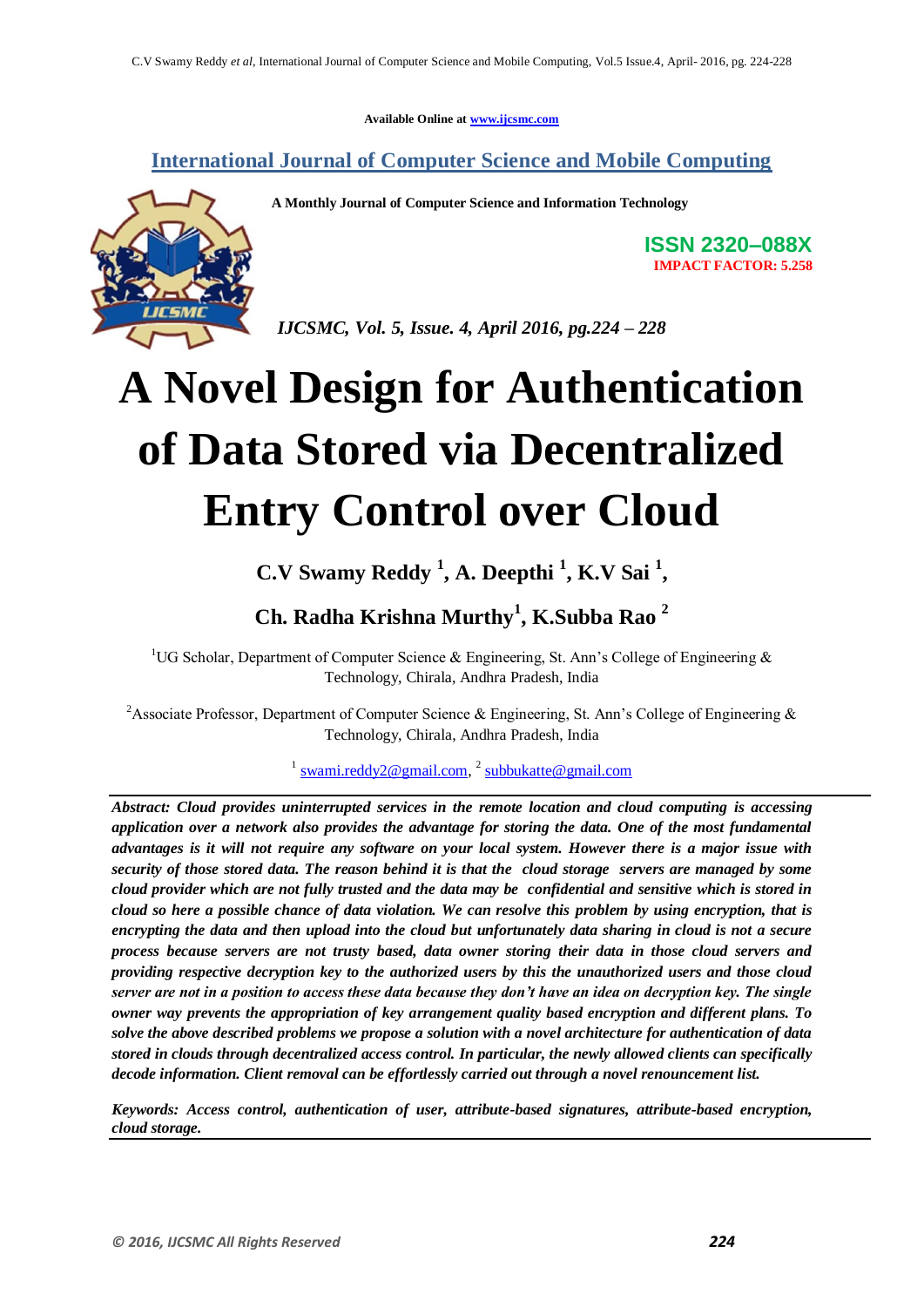**Available Online at www.ijcsmc.com**

**International Journal of Computer Science and Mobile Computing**

**A Monthly Journal of Computer Science and Information Technology**

**ISSN 2320–088X IMPACT FACTOR: 5.258**

 *IJCSMC, Vol. 5, Issue. 4, April 2016, pg.224 – 228*

# **A Novel Design for Authentication of Data Stored via Decentralized Entry Control over Cloud**

# **C.V Swamy Reddy <sup>1</sup> , A. Deepthi <sup>1</sup> , K.V Sai <sup>1</sup> ,**

# **Ch. Radha Krishna Murthy<sup>1</sup> , K.Subba Rao <sup>2</sup>**

<sup>1</sup>UG Scholar, Department of Computer Science & Engineering, St. Ann's College of Engineering & Technology, Chirala, Andhra Pradesh, India

<sup>2</sup> Associate Professor, Department of Computer Science & Engineering, St. Ann's College of Engineering & Technology, Chirala, Andhra Pradesh, India

<sup>1</sup> swami.reddy2@gmail.com, <sup>2</sup> subbukatte@gmail.com

*Abstract: Cloud provides uninterrupted services in the remote location and cloud computing is accessing application over a network also provides the advantage for storing the data. One of the most fundamental advantages is it will not require any software on your local system. However there is a major issue with security of those stored data. The reason behind it is that the cloud storage servers are managed by some cloud provider which are not fully trusted and the data may be confidential and sensitive which is stored in cloud so here a possible chance of data violation. We can resolve this problem by using encryption, that is encrypting the data and then upload into the cloud but unfortunately data sharing in cloud is not a secure process because servers are not trusty based, data owner storing their data in those cloud servers and providing respective decryption key to the authorized users by this the unauthorized users and those cloud server are not in a position to access these data because they don't have an idea on decryption key. The single owner way prevents the appropriation of key arrangement quality based encryption and different plans. To solve the above described problems we propose a solution with a novel architecture for authentication of data stored in clouds through decentralized access control. In particular, the newly allowed clients can specifically decode information. Client removal can be effortlessly carried out through a novel renouncement list.*

*Keywords: Access control, authentication of user, attribute-based signatures, attribute-based encryption, cloud storage.*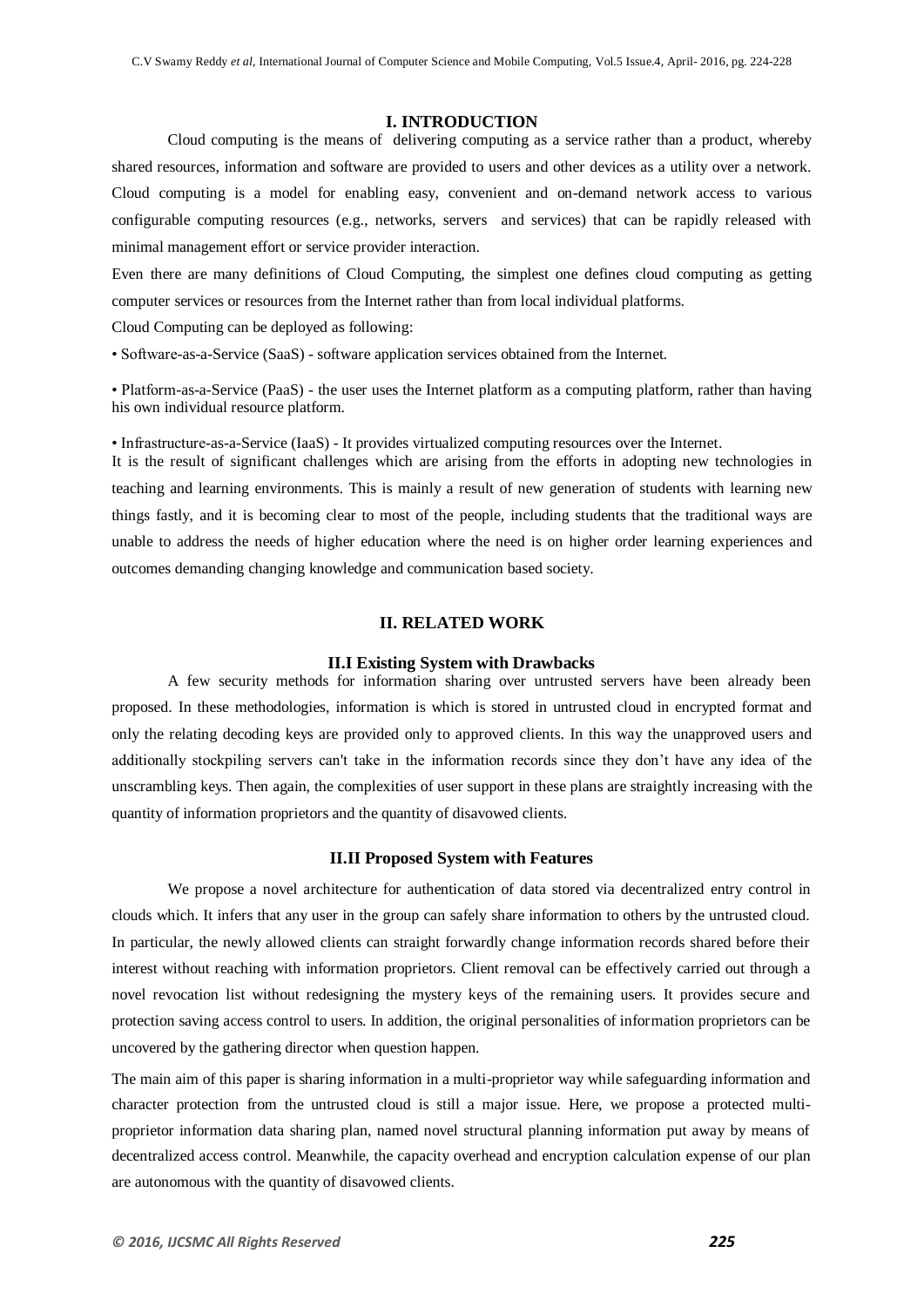#### **I. INTRODUCTION**

Cloud computing is the means of delivering computing as a service rather than a product, whereby shared resources, information and software are provided to users and other devices as a utility over a network. Cloud computing is a model for enabling easy, convenient and on-demand network access to various configurable computing resources (e.g., networks, servers and services) that can be rapidly released with minimal management effort or service provider interaction.

Even there are many definitions of Cloud Computing, the simplest one defines cloud computing as getting computer services or resources from the Internet rather than from local individual platforms.

Cloud Computing can be deployed as following:

• Software-as-a-Service (SaaS) - software application services obtained from the Internet.

• Platform-as-a-Service (PaaS) - the user uses the Internet platform as a computing platform, rather than having his own individual resource platform.

• Infrastructure-as-a-Service (IaaS) - It provides virtualized computing resources over the Internet.

It is the result of significant challenges which are arising from the efforts in adopting new technologies in teaching and learning environments. This is mainly a result of new generation of students with learning new things fastly, and it is becoming clear to most of the people, including students that the traditional ways are unable to address the needs of higher education where the need is on higher order learning experiences and outcomes demanding changing knowledge and communication based society.

## **II. RELATED WORK**

#### **II.I Existing System with Drawbacks**

A few security methods for information sharing over untrusted servers have been already been proposed. In these methodologies, information is which is stored in untrusted cloud in encrypted format and only the relating decoding keys are provided only to approved clients. In this way the unapproved users and additionally stockpiling servers can't take in the information records since they don't have any idea of the unscrambling keys. Then again, the complexities of user support in these plans are straightly increasing with the quantity of information proprietors and the quantity of disavowed clients.

#### **II.II Proposed System with Features**

We propose a novel architecture for authentication of data stored via decentralized entry control in clouds which. It infers that any user in the group can safely share information to others by the untrusted cloud. In particular, the newly allowed clients can straight forwardly change information records shared before their interest without reaching with information proprietors. Client removal can be effectively carried out through a novel revocation list without redesigning the mystery keys of the remaining users. It provides secure and protection saving access control to users. In addition, the original personalities of information proprietors can be uncovered by the gathering director when question happen.

The main aim of this paper is sharing information in a multi-proprietor way while safeguarding information and character protection from the untrusted cloud is still a major issue. Here, we propose a protected multiproprietor information data sharing plan, named novel structural planning information put away by means of decentralized access control. Meanwhile, the capacity overhead and encryption calculation expense of our plan are autonomous with the quantity of disavowed clients.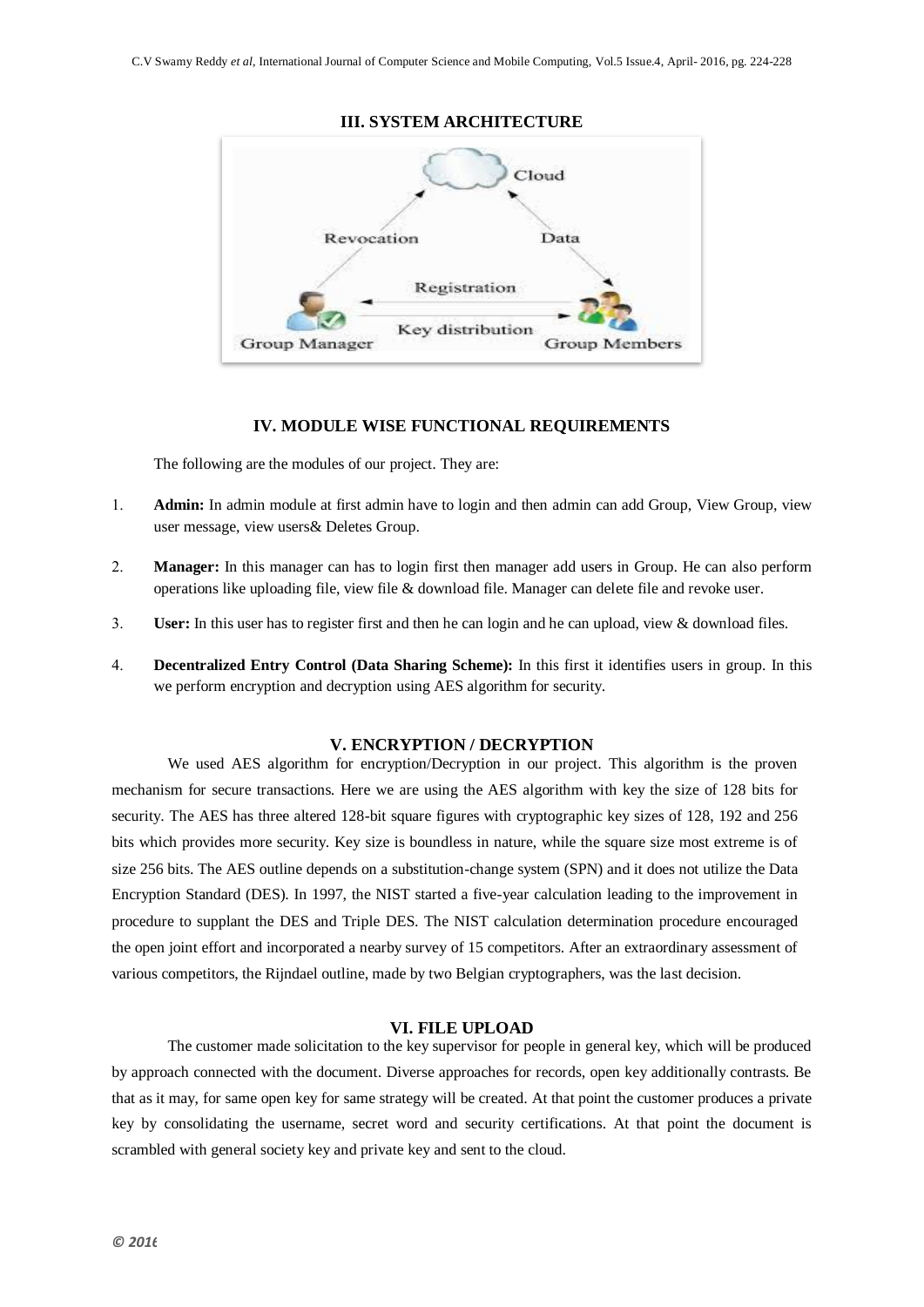

## **IV. MODULE WISE FUNCTIONAL REQUIREMENTS**

The following are the modules of our project. They are:

- **Admin:** In admin module at first admin have to login and then admin can add Group, View Group, view user message, view users& Deletes Group.
- **Manager:** In this manager can has to login first then manager add users in Group. He can also perform operations like uploading file, view file & download file. Manager can delete file and revoke user.
- **User:** In this user has to register first and then he can login and he can upload, view & download files.
- **Decentralized Entry Control (Data Sharing Scheme):** In this first it identifies users in group. In this we perform encryption and decryption using AES algorithm for security.

## **V. ENCRYPTION / DECRYPTION**

We used AES algorithm for encryption/Decryption in our project. This algorithm is the proven mechanism for secure transactions. Here we are using the AES algorithm with key the size of 128 bits for security. The AES has three altered 128-bit square figures with cryptographic key sizes of 128, 192 and 256 bits which provides more security. Key size is boundless in nature, while the square size most extreme is of size 256 bits. The AES outline depends on a substitution-change system (SPN) and it does not utilize the Data Encryption Standard (DES). In 1997, the NIST started a five-year calculation leading to the improvement in procedure to supplant the DES and Triple DES. The NIST calculation determination procedure encouraged the open joint effort and incorporated a nearby survey of 15 competitors. After an extraordinary assessment of various competitors, the Rijndael outline, made by two Belgian cryptographers, was the last decision.

## **VI. FILE UPLOAD**

The customer made solicitation to the key supervisor for people in general key, which will be produced by approach connected with the document. Diverse approaches for records, open key additionally contrasts. Be that as it may, for same open key for same strategy will be created. At that point the customer produces a private key by consolidating the username, secret word and security certifications. At that point the document is scrambled with general society key and private key and sent to the cloud.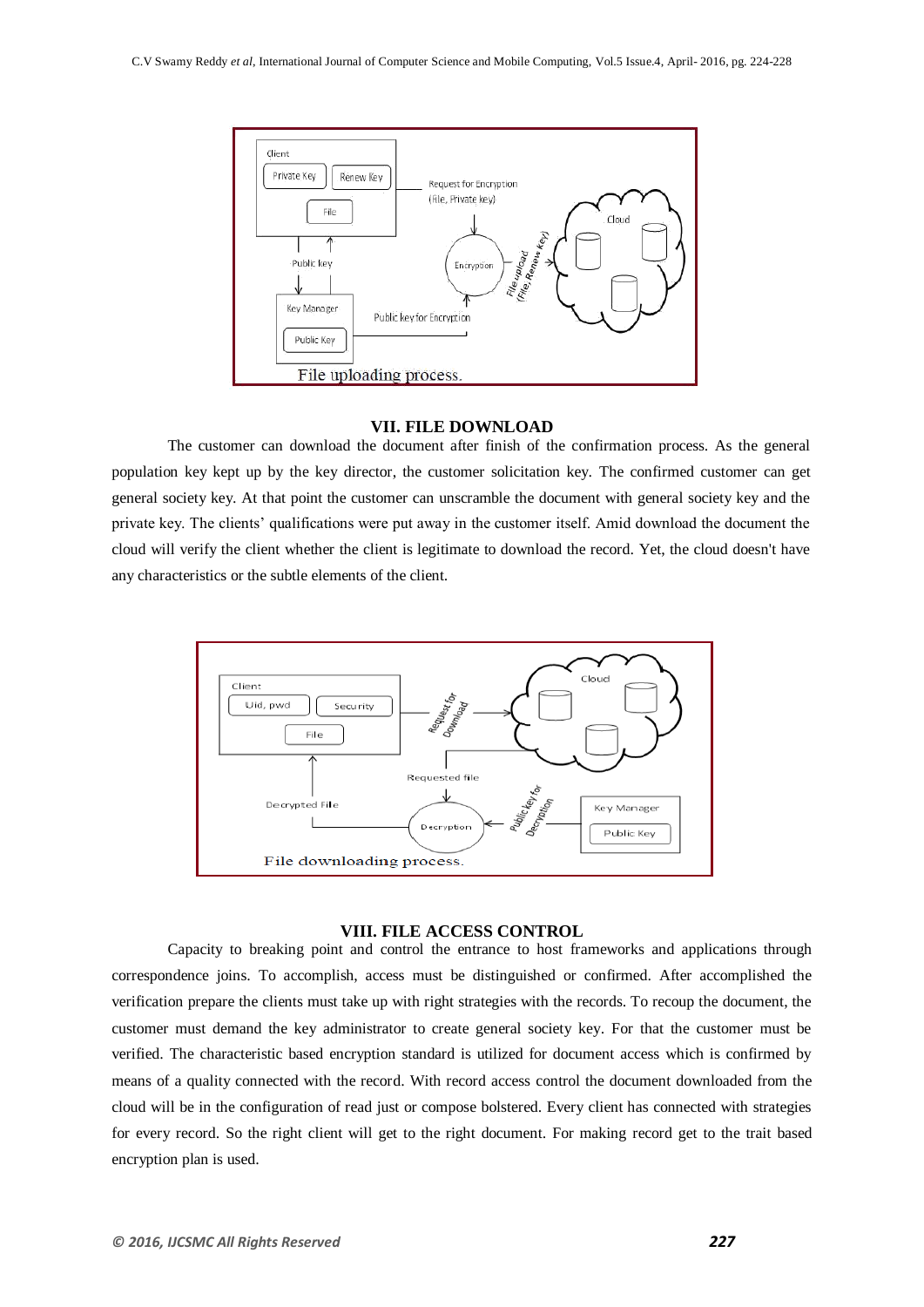

#### **VII. FILE DOWNLOAD**

The customer can download the document after finish of the confirmation process. As the general population key kept up by the key director, the customer solicitation key. The confirmed customer can get general society key. At that point the customer can unscramble the document with general society key and the private key. The clients' qualifications were put away in the customer itself. Amid download the document the cloud will verify the client whether the client is legitimate to download the record. Yet, the cloud doesn't have any characteristics or the subtle elements of the client.



#### **VIII. FILE ACCESS CONTROL**

Capacity to breaking point and control the entrance to host frameworks and applications through correspondence joins. To accomplish, access must be distinguished or confirmed. After accomplished the verification prepare the clients must take up with right strategies with the records. To recoup the document, the customer must demand the key administrator to create general society key. For that the customer must be verified. The characteristic based encryption standard is utilized for document access which is confirmed by means of a quality connected with the record. With record access control the document downloaded from the cloud will be in the configuration of read just or compose bolstered. Every client has connected with strategies for every record. So the right client will get to the right document. For making record get to the trait based encryption plan is used.